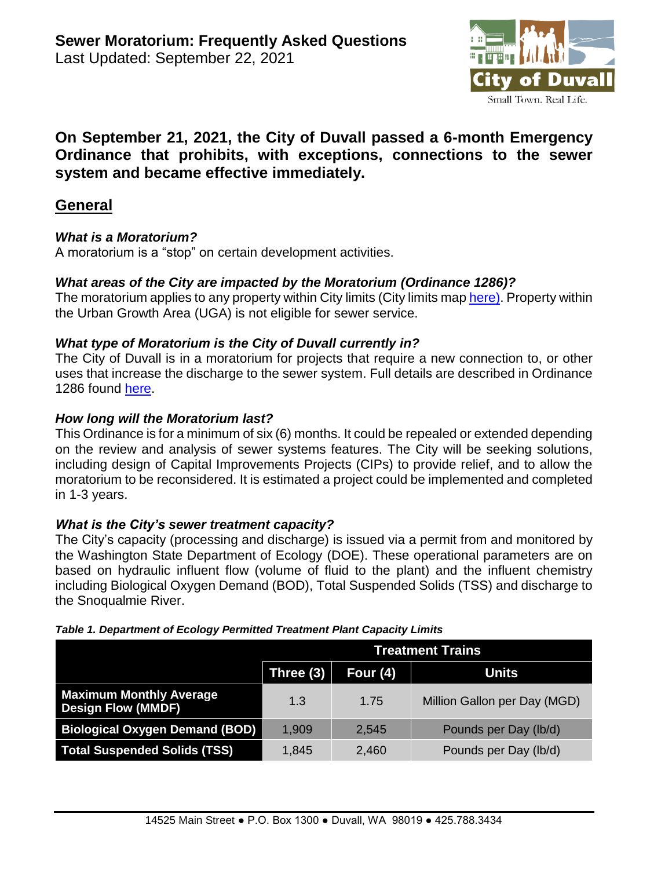

# **On September 21, 2021, the City of Duvall passed a 6-month Emergency Ordinance that prohibits, with exceptions, connections to the sewer system and became effective immediately.**

## **General**

#### *What is a Moratorium?*

A moratorium is a "stop" on certain development activities.

#### *What areas of the City are impacted by the Moratorium (Ordinance 1286)?*

The moratorium applies to any property within City limits (City limits ma[p here\)](http://duvallwa.gov/DocumentCenter/View/6159/2018-Zoning-Map-85X11-PDF?bidId=). Property within the Urban Growth Area (UGA) is not eligible for sewer service.

#### *What type of Moratorium is the City of Duvall currently in?*

The City of Duvall is in a moratorium for projects that require a new connection to, or other uses that increase the discharge to the sewer system. Full details are described in Ordinance 1286 found [here.](http://www.duvallwa.gov/DocumentCenter/View/7493/Ord-1286_Emergency-Interim-Ordinance---Six-Month-Moratorium-for-Sewer-Connections)

#### *How long will the Moratorium last?*

This Ordinance is for a minimum of six (6) months. It could be repealed or extended depending on the review and analysis of sewer systems features. The City will be seeking solutions, including design of Capital Improvements Projects (CIPs) to provide relief, and to allow the moratorium to be reconsidered. It is estimated a project could be implemented and completed in 1-3 years.

#### *What is the City's sewer treatment capacity?*

The City's capacity (processing and discharge) is issued via a permit from and monitored by the Washington State Department of Ecology (DOE). These operational parameters are on based on hydraulic influent flow (volume of fluid to the plant) and the influent chemistry including Biological Oxygen Demand (BOD), Total Suspended Solids (TSS) and discharge to the Snoqualmie River.

|                                                             | <b>Treatment Trains</b> |            |                              |  |
|-------------------------------------------------------------|-------------------------|------------|------------------------------|--|
|                                                             | Three (3)               | Four $(4)$ | <b>Units</b>                 |  |
| <b>Maximum Monthly Average</b><br><b>Design Flow (MMDF)</b> | 1.3                     | 1.75       | Million Gallon per Day (MGD) |  |
| <b>Biological Oxygen Demand (BOD)</b>                       | 1,909                   | 2,545      | Pounds per Day (lb/d)        |  |
| <b>Total Suspended Solids (TSS)</b>                         | 1,845                   | 2,460      | Pounds per Day (lb/d)        |  |

#### *Table 1. Department of Ecology Permitted Treatment Plant Capacity Limits*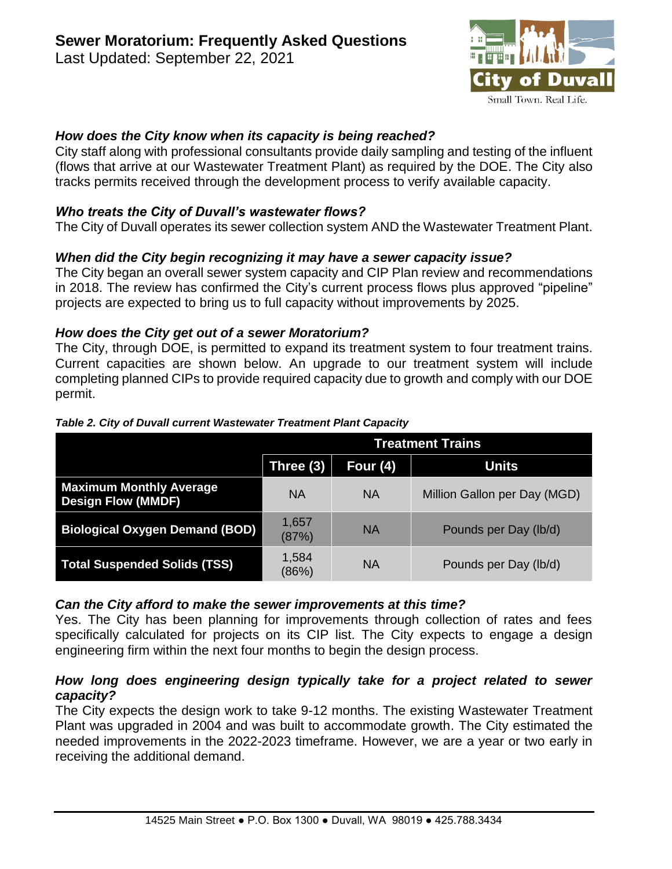of Duva Small Town. Real Life.

#### *How does the City know when its capacity is being reached?*

City staff along with professional consultants provide daily sampling and testing of the influent (flows that arrive at our Wastewater Treatment Plant) as required by the DOE. The City also tracks permits received through the development process to verify available capacity.

#### *Who treats the City of Duvall's wastewater flows?*

The City of Duvall operates its sewer collection system AND the Wastewater Treatment Plant.

## *When did the City begin recognizing it may have a sewer capacity issue?*

The City began an overall sewer system capacity and CIP Plan review and recommendations in 2018. The review has confirmed the City's current process flows plus approved "pipeline" projects are expected to bring us to full capacity without improvements by 2025.

#### *How does the City get out of a sewer Moratorium?*

The City, through DOE, is permitted to expand its treatment system to four treatment trains. Current capacities are shown below. An upgrade to our treatment system will include completing planned CIPs to provide required capacity due to growth and comply with our DOE permit.

|                                                             | <b>Treatment Trains</b> |           |                              |
|-------------------------------------------------------------|-------------------------|-----------|------------------------------|
|                                                             | Three (3)               | Four (4)  | <b>Units</b>                 |
| <b>Maximum Monthly Average</b><br><b>Design Flow (MMDF)</b> | <b>NA</b>               | <b>NA</b> | Million Gallon per Day (MGD) |
| <b>Biological Oxygen Demand (BOD)</b>                       | 1,657<br>(87%)          | <b>NA</b> | Pounds per Day (lb/d)        |
| <b>Total Suspended Solids (TSS)</b>                         | 1,584<br>(86%)          | <b>NA</b> | Pounds per Day (lb/d)        |

#### *Table 2. City of Duvall current Wastewater Treatment Plant Capacity*

#### *Can the City afford to make the sewer improvements at this time?*

Yes. The City has been planning for improvements through collection of rates and fees specifically calculated for projects on its CIP list. The City expects to engage a design engineering firm within the next four months to begin the design process.

#### *How long does engineering design typically take for a project related to sewer capacity?*

The City expects the design work to take 9-12 months. The existing Wastewater Treatment Plant was upgraded in 2004 and was built to accommodate growth. The City estimated the needed improvements in the 2022-2023 timeframe. However, we are a year or two early in receiving the additional demand.